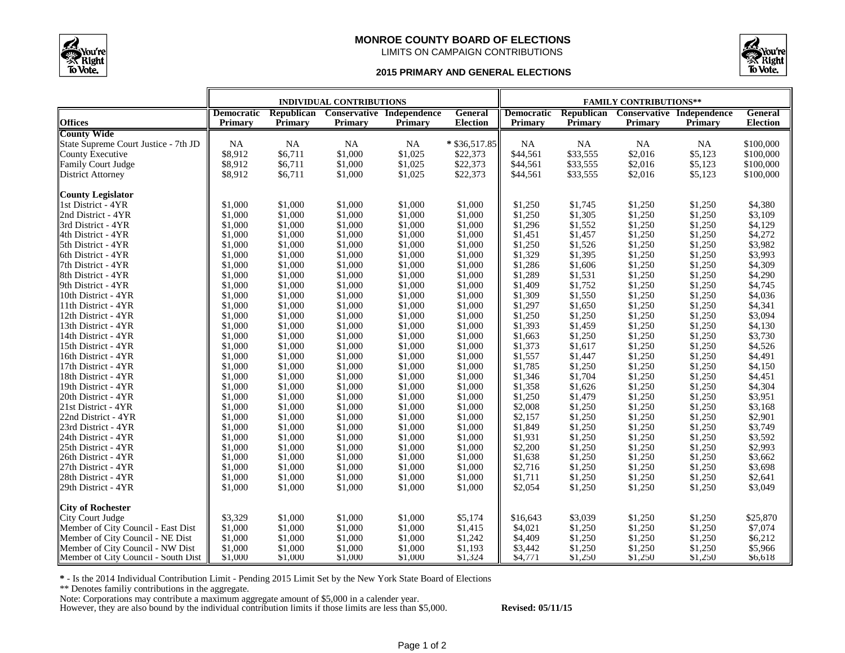

## **MONROE COUNTY BOARD OF ELECTIONS** LIMITS ON CAMPAIGN CONTRIBUTIONS



## **2015 PRIMARY AND GENERAL ELECTIONS**

|                                      | <b>INDIVIDUAL CONTRIBUTIONS</b> |                       |         |                                      | <b>FAMILY CONTRIBUTIONS**</b> |                   |                   |                |                                             |                 |
|--------------------------------------|---------------------------------|-----------------------|---------|--------------------------------------|-------------------------------|-------------------|-------------------|----------------|---------------------------------------------|-----------------|
| <b>Offices</b>                       | <b>Democratic</b>               | Republican<br>Primary |         | Conservative Independence<br>Primary | General                       | <b>Democratic</b> | <b>Republican</b> |                | <b>Conservative Independence</b><br>Primary | <b>General</b>  |
| <b>County Wide</b>                   | Primary                         |                       | Primary |                                      | <b>Election</b>               | Primary           | Primary           | <b>Primary</b> |                                             | <b>Election</b> |
| State Supreme Court Justice - 7th JD | <b>NA</b>                       | <b>NA</b>             | NA      | <b>NA</b>                            | * \$36,517.85                 | NA                | $_{\rm NA}$       | NA             | NA                                          | \$100,000       |
| County Executive                     | \$8,912                         | \$6,711               | \$1,000 | \$1,025                              | \$22,373                      | \$44,561          | \$33,555          | \$2,016        | \$5,123                                     | \$100,000       |
| Family Court Judge                   | \$8,912                         | \$6,711               | \$1,000 | \$1,025                              | \$22,373                      | \$44,561          | \$33,555          | \$2,016        | \$5,123                                     | \$100,000       |
| <b>District Attorney</b>             | \$8,912                         | \$6,711               | \$1,000 | \$1,025                              | \$22,373                      | \$44,561          | \$33,555          | \$2,016        | \$5,123                                     | \$100,000       |
|                                      |                                 |                       |         |                                      |                               |                   |                   |                |                                             |                 |
| <b>County Legislator</b>             |                                 |                       |         |                                      |                               |                   |                   |                |                                             |                 |
| 1st District - 4YR                   | \$1,000                         | \$1,000               | \$1,000 | \$1,000                              | \$1,000                       | \$1,250           | \$1,745           | \$1,250        | \$1,250                                     | \$4,380         |
| 2nd District - 4YR                   | \$1,000                         | \$1,000               | \$1,000 | \$1,000                              | \$1,000                       | \$1,250           | \$1,305           | \$1,250        | \$1,250                                     | \$3,109         |
| 3rd District - 4YR                   | \$1,000                         | \$1,000               | \$1,000 | \$1,000                              | \$1,000                       | \$1,296           | \$1,552           | \$1,250        | \$1,250                                     | \$4,129         |
| 4th District - 4YR                   | \$1,000                         | \$1,000               | \$1,000 | \$1,000                              | \$1,000                       | \$1,451           | \$1,457           | \$1,250        | \$1,250                                     | \$4,272         |
| 5th District - 4YR                   | \$1,000                         | \$1,000               | \$1,000 | \$1,000                              | \$1,000                       | \$1,250           | \$1,526           | \$1,250        | \$1,250                                     | \$3,982         |
| 6th District - 4YR                   | \$1,000                         | \$1,000               | \$1,000 | \$1,000                              | \$1,000                       | \$1,329           | \$1,395           | \$1,250        | \$1,250                                     | \$3,993         |
| 7th District - 4YR                   | \$1,000                         | \$1,000               | \$1,000 | \$1,000                              | \$1,000                       | \$1,286           | \$1,606           | \$1,250        | \$1,250                                     | \$4,309         |
| 8th District - 4YR                   | \$1,000                         | \$1,000               | \$1,000 | \$1,000                              | \$1,000                       | \$1,289           | \$1,531           | \$1,250        | \$1,250                                     | \$4,290         |
| 9th District - 4YR                   | \$1,000                         | \$1,000               | \$1,000 | \$1,000                              | \$1,000                       | \$1,409           | \$1,752           | \$1,250        | \$1,250                                     | \$4,745         |
| 10th District - 4YR                  | \$1,000                         | \$1,000               | \$1,000 | \$1,000                              | \$1,000                       | \$1,309           | \$1,550           | \$1,250        | \$1,250                                     | \$4,036         |
| 11th District - 4YR                  | \$1,000                         | \$1,000               | \$1,000 | \$1,000                              | \$1,000                       | \$1,297           | \$1,650           | \$1,250        | \$1,250                                     | \$4,341         |
| 12th District - 4YR                  | \$1,000                         | \$1,000               | \$1,000 | \$1,000                              | \$1,000                       | \$1,250           | \$1,250           | \$1,250        | \$1,250                                     | \$3,094         |
| 13th District - 4YR                  | \$1,000                         | \$1,000               | \$1,000 | \$1,000                              | \$1,000                       | \$1,393           | \$1,459           | \$1,250        | \$1,250                                     | \$4,130         |
| 14th District - 4YR                  | \$1,000                         | \$1,000               | \$1,000 | \$1,000                              | \$1,000                       | \$1,663           | \$1,250           | \$1,250        | \$1,250                                     | \$3,730         |
| 15th District - 4YR                  | \$1,000                         | \$1,000               | \$1,000 | \$1,000                              | \$1,000                       | \$1,373           | \$1,617           | \$1,250        | \$1,250                                     | \$4,526         |
| 16th District - 4YR                  | \$1,000                         | \$1,000               | \$1,000 | \$1,000                              | \$1,000                       | \$1,557           | \$1,447           | \$1,250        | \$1,250                                     | \$4,491         |
| 17th District - 4YR                  | \$1,000                         | \$1,000               | \$1,000 | \$1,000                              | \$1,000                       | \$1,785           | \$1,250           | \$1,250        | \$1,250                                     | \$4,150         |
| 18th District - 4YR                  | \$1,000                         | \$1,000               | \$1,000 | \$1,000                              | \$1,000                       | \$1,346           | \$1,704           | \$1,250        | \$1,250                                     | \$4,451         |
| 19th District - 4YR                  | \$1,000                         | \$1,000               | \$1,000 | \$1,000                              | \$1,000                       | \$1,358           | \$1,626           | \$1,250        | \$1,250                                     | \$4,304         |
| 20th District - 4YR                  | \$1,000                         | \$1,000               | \$1,000 | \$1,000                              | \$1,000                       | \$1,250           | \$1,479           | \$1,250        | \$1,250                                     | \$3,951         |
| 21st District - 4YR                  | \$1,000                         | \$1,000               | \$1,000 | \$1,000                              | \$1,000                       | \$2,008           | \$1,250           | \$1,250        | \$1,250                                     | \$3,168         |
| 22nd District - 4YR                  | \$1,000                         | \$1,000               | \$1,000 | \$1,000                              | \$1,000                       | \$2,157           | \$1,250           | \$1,250        | \$1,250                                     | \$2,901         |
| 23rd District - 4YR                  | \$1,000                         | \$1,000               | \$1,000 | \$1,000                              | \$1,000                       | \$1,849           | \$1,250           | \$1,250        | \$1,250                                     | \$3,749         |
| 24th District - 4YR                  | \$1,000                         | \$1,000               | \$1,000 | \$1,000                              | \$1,000                       | \$1,931           | \$1,250           | \$1,250        | \$1,250                                     | \$3,592         |
| 25th District - 4YR                  | \$1,000                         | \$1,000               | \$1,000 | \$1,000                              | \$1,000                       | \$2,200           | \$1,250           | \$1,250        | \$1,250                                     | \$2,993         |
| 26th District - 4YR                  | \$1,000                         | \$1,000               | \$1,000 | \$1,000                              | \$1,000                       | \$1,638           | \$1,250           | \$1,250        | \$1,250                                     | \$3,662         |
| 27th District - 4YR                  | \$1,000                         | \$1,000               | \$1,000 | \$1,000                              | \$1,000                       | \$2,716           | \$1,250           | \$1,250        | \$1,250                                     | \$3,698         |
| 28th District - 4YR                  | \$1,000                         | \$1,000               | \$1,000 | \$1,000                              | \$1,000                       | \$1,711           | \$1,250           | \$1,250        | \$1,250                                     | \$2,641         |
| 29th District - 4YR                  | \$1,000                         | \$1,000               | \$1,000 | \$1,000                              | \$1,000                       | \$2,054           | \$1,250           | \$1,250        | \$1,250                                     | \$3,049         |
| <b>City of Rochester</b>             |                                 |                       |         |                                      |                               |                   |                   |                |                                             |                 |
| <b>City Court Judge</b>              | \$3,329                         | \$1,000               | \$1,000 | \$1,000                              | \$5,174                       | \$16,643          | \$3,039           | \$1,250        | \$1,250                                     | \$25,870        |
| Member of City Council - East Dist   | \$1,000                         | \$1,000               | \$1,000 | \$1,000                              | \$1,415                       | \$4,021           | \$1,250           | \$1,250        | \$1,250                                     | \$7,074         |
| Member of City Council - NE Dist     | \$1,000                         | \$1,000               | \$1,000 | \$1,000                              | \$1,242                       | \$4,409           | \$1,250           | \$1,250        | \$1,250                                     | \$6,212         |
| Member of City Council - NW Dist     | \$1,000                         | \$1,000               | \$1,000 | \$1,000                              | \$1,193                       | \$3,442           | \$1,250           | \$1,250        | \$1,250                                     | \$5,966         |
| Member of City Council - South Dist  | \$1,000                         | \$1,000               | \$1,000 | \$1,000                              | \$1,324                       | \$4,771           | \$1,250           | \$1,250        | \$1,250                                     | \$6,618         |

**\*** - Is the 2014 Individual Contribution Limit - Pending 2015 Limit Set by the New York State Board of Elections

\*\* Denotes familiy contributions in the aggregate.

Note: Corporations may contribute a maximum aggregate amount of \$5,000 in a calender year.

However, they are also bound by the individual contribution limits if those limits are less than \$5,000. **Revised: 05/11/15**